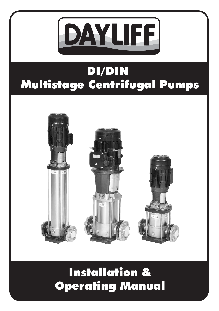

# DI/DIN Multistage Centrifugal Pumps



# Installation & Operating Manual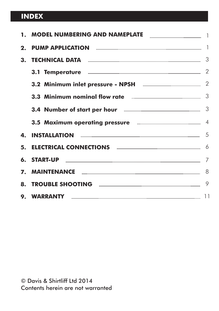### **INDEX**

| 1. MODEL NUMBERING AND NAMEPLATE                                              |  |
|-------------------------------------------------------------------------------|--|
|                                                                               |  |
|                                                                               |  |
| 3.1 Temperature <b>www.management.org/</b> 3.1 Temperature www.management.com |  |
| 3.2 Minimum inlet pressure - NPSH <b>Example 2</b> 2                          |  |
| 3.3 Minimum nominal flow rate <b>All and Strate</b> 3                         |  |
| 3.4 Number of start per hour <b>Engineer Start per light and the Start</b> 3  |  |
| 3.5 Maximum operating pressure <b>Engineering</b> 4                           |  |
|                                                                               |  |
|                                                                               |  |
|                                                                               |  |
|                                                                               |  |
| 8. TROUBLE SHOOTING <b>Example 2008</b> 2014 2021 2022                        |  |
|                                                                               |  |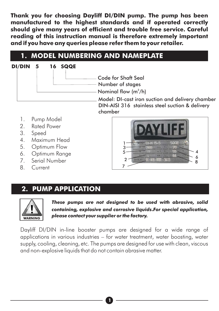**Thank you for choosing Dayliff DI/DIN pump. The pump has been manufactured to the highest standards and if operated correctly should give many years of efficient and trouble free service. Careful reading of this instruction manual is therefore extremely important and if you have any queries please refer them to your retailer.**

### **1. MODEL NUMBERING AND NAMEPLATE**



- 4. Maximum Head
- 5. Optimum Flow
- 6. Optimum Range
- 7. Serial Number
- 8. Current



# **2. PUMP APPLICATION**



*These pumps are not designed to be used with abrasive, solid containing, explosive and corrosive liquids***.***For special application, please contact your supplier or the factory.*

Dayliff DI/DIN in-line booster pumps are designed for a wide range of applications in various industries – for water treatment, water boosting, water supply, cooling, cleaning, etc. The pumps are designed for use with clean, viscous and non-explosive liquids that do not contain abrasive matter.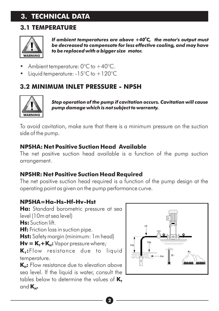## **3. TECHNICAL DATA**

### **3.1 TEMPERATURE**



*0 If ambient temperatures are above +40 C, the motor's output must be decreased to compensate for less effective cooling, and may have to be replaced with a bigger size motor.*

- Ambient temperature: 0°C to +40°C.
- Liquid temperature: -15°C to +120°C

### **3.2 MINIMUM INLET PRESSURE - NPSH**



*Stop operation of the pump if cavitation occurs. Cavitation will cause pump damage which is not subject to warranty.*

To avoid cavitation, make sure that there is a minimum pressure on the suction side of the pump.

#### **NPSHA: Net Positive Suction Head Available**

The net positive suction head available is a function of the pump suction arrangement.

#### **NPSHR: Net Positive Suction Head Required**

The net positive suction head required is a function of the pump design at the operating point as given on the pump performance curve.

#### **NPSHA=Ha-Hs-Hf-Hv-Hst**

**Ha:** S tandard barometric pressure at sea (10m at sea level) level **Hs:** Suction lift.

**Hf:** Friction loss in suction pipe.

**Hst:** Safety margin (minimum: 1m head)

 $Hv = K_r + K_u$ : Vapor pressure where;

**K<sup>T</sup> :**Flow resistance due to liquid temperature.

**K<sub>H</sub>**: Flow resistance due to elevation above sea level. If the liquid is water, consult the tables below to determine the values of  $K_{\tau}$ and  $K_H$ .

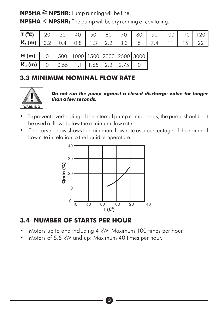**NPSHA ≧NPSHR:** Pump running will be fine.

**NPSHA <NPSHR:** The pump will be dry running or cavitating.

| <b>T</b> (°C) $\begin{bmatrix} 20 & 30 & 40 & 50 & 60 & 70 & 80 & 90 & 100 & 110 & 120 \end{bmatrix}$ |  |  |  |  |  |  |
|-------------------------------------------------------------------------------------------------------|--|--|--|--|--|--|
| $\mathbf{K}_{\mathbf{r}}$ (m) 0.2 0.4 0.8 1.3 2.2 3.3 5 7.4 11 15 22                                  |  |  |  |  |  |  |

| H(m)                                                                     |  |  |  | $0   500   1000   1500   2000   2500   3000  $ |
|--------------------------------------------------------------------------|--|--|--|------------------------------------------------|
| $\begin{bmatrix} K_{\rm H} \ (m) \end{bmatrix}$ 0 0.55 1.1 1.65 2.2 2.75 |  |  |  |                                                |

### **3.3 MINIMUM NOMINAL FLOW RATE**



*Do not run the pump against a closed discharge valve for longer than a few seconds.*

- **•** To prevent overheating of the internal pump components, the pump should not be used at flows below the minimum flow rate.
- The curve below shows the minimum flow rate as a percentage of the nominal flow rate in relation to the liquid temperature.



#### **3.4 NUMBER OF STARTS PER HOUR**

**•** Motors up to and including 4 kW: Maximum 100 times per hour.

**3**

**•** Motors of 5.5 kW and up: Maximum 40 times per hour.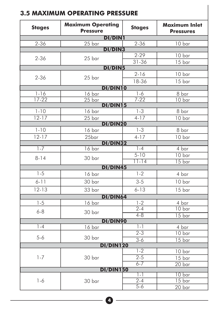| <b>Stages</b> | <b>Maximum Operating</b><br><b>Pressure</b> | <b>Stages</b>     | <b>Maximum Inlet</b><br><b>Pressures</b> |
|---------------|---------------------------------------------|-------------------|------------------------------------------|
|               | <b>DI/DIN1</b>                              |                   |                                          |
| $2 - 36$      | 25 bar                                      | $2 - 36$          | 10 bar                                   |
|               | <b>DI/DIN3</b>                              | $2 - 29$          |                                          |
| $2 - 36$      | 25 bar                                      | $31 - 36$         | 10 bar<br>15 bar                         |
|               | <b>DI/DIN5</b>                              |                   |                                          |
|               |                                             | $2 - 16$          | 10 bar                                   |
| $2 - 36$      | 25 bar                                      | 18-36             | 15 bar                                   |
|               | <b>DI/DIN10</b>                             |                   |                                          |
| $1 - 16$      | 16 bar                                      | $1 - 6$           | 8 bar                                    |
| $17 - 22$     | $25$ bar                                    | $7 - 22$          | 10 bar                                   |
|               | DI/DIN15                                    |                   |                                          |
| $1 - 10$      | $16 \text{ bar}$                            | $1 - 3$           | 8 bar                                    |
| $12 - 17$     | 25 <sub>bar</sub><br><b>DI/DIN20</b>        | $4-17$            | 10 bar                                   |
| $1 - 10$      | 16 bar                                      | $1 - 3$           | 8 bar                                    |
| $12 - 17$     | 25bar                                       | $4-17$            | 10 bar                                   |
|               | <b>DI/DIN32</b>                             |                   |                                          |
| $1 - 7$       | $16 \text{ bar}$                            | $1 - 4$           | $4 \text{ bar}$                          |
| $8 - 14$      | 30 bar                                      | $5 - 10$          | 10 <sub>bar</sub>                        |
|               |                                             | $11 - 14$         | 15 <sub>bar</sub>                        |
|               | DI/DIN45                                    |                   |                                          |
| $1 - 5$       | 16 bar                                      | $1 - 2$           | 4 bar                                    |
| $6 - 11$      | 30 bar                                      | $3 - 5$           | 10 bar                                   |
| $12 - 13$     | 33 bar                                      | $6 - 13$          | 15 bar                                   |
|               | DI/DIN64                                    |                   |                                          |
| $1 - 5$       | 16 bar                                      | $\frac{1-2}{2-4}$ | 4 bar                                    |
| $6 - 8$       | 30 bar                                      |                   | 10 <sub>bar</sub>                        |
|               | DI/DIN90                                    | $4 - 8$           | 15 <sub>bar</sub>                        |
| $1 - 4$       | 16 bar                                      | $1 - 1$           | 4 bar                                    |
|               |                                             | $\overline{2-3}$  | 10 <sub>bar</sub>                        |
| $5 - 6$       | 30 bar                                      | $3-6$             | 15 bar                                   |
|               | <b>DI/DIN120</b>                            |                   |                                          |
|               |                                             | $1 - 2$           | 10 bar                                   |
| $1 - 7$       | 30 bar                                      | $2 - 5$           | 15 bar                                   |
|               |                                             | $6 - 7$           | $20$ bar                                 |
|               | <b>DI/DIN150</b>                            | $1 - 1$           | 10 bar                                   |
| $1 - 6$       | 30 bar                                      | $2 - 4$           | $\overline{15}$ bar                      |
|               |                                             | $5 - 6$           | 20 bar                                   |

# **4**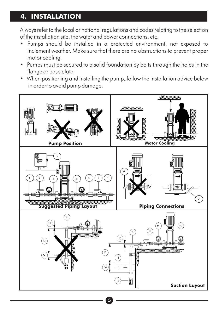### **4. INSTALLATION**

Always refer to the local or national regulations and codes relating to the selection of the installation site, the water and power connections, etc.

- **•** Pumps should be installed in a protected environment, not exposed to inclement weather. Make sure that there are no obstructions to prevent proper motor cooling.
- Pumps must be secured to a solid foundation by bolts through the holes in the flange or base plate.
- When positioning and installing the pump, follow the installation advice below in order to avoid pump damage.

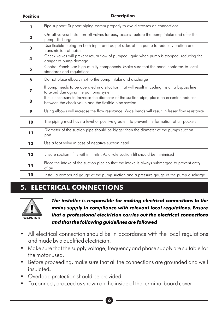| <b>Position</b> | <b>Description</b>                                                                                                                                   |
|-----------------|------------------------------------------------------------------------------------------------------------------------------------------------------|
| 1               | Pipe support: Support piping system properly to avoid stresses on connections.                                                                       |
| $\mathbf{2}$    | On-off valves: Install on-off valves for easy access- before the pump intake and after the<br>pump discharge.                                        |
| 3               | Use flexible piping on both input and output sides of the pump to reduce vibration and<br>transmission of noise.                                     |
| 4               | Check valves will prevent return flow of pumped liquid when pump is stopped, reducing the<br>danger of pump damage                                   |
| 5               | Control Panel: Use high quality components. Make sure that the panel conforms to local<br>standards and regulations                                  |
| 6               | Do not place elbows next to the pump intake and discharge                                                                                            |
| 7               | If pump needs to be operated in a situation that will result in cycling install a bypass line<br>to avoid damaging the pumping system                |
| 8               | If it is necessary to increase the diameter of the suction pipe, place an eccentric reducer<br>between the check value and the flexible pipe section |
| 9               | Using elbows will increase the flow resistance. Wide bends will result in lesser flow resistance                                                     |
| 10              | The piping must have a level or positive gradient to prevent the formation of air pockets                                                            |
| 11              | Diameter of the suction pipe should be bigger than the diameter of the pumps suction<br>port                                                         |
| 12              | Use a foot valve in case of negative suction head                                                                                                    |
| 13              | Ensure suction lift is within limits. As a rule suction lift should be minimised                                                                     |
| 14              | Place the intake of the suction pipe so that the intake is always submerged to prevent entry<br>of air                                               |
| 15              | Install a compound gauge at the pump suction and a pressure gauge at the pump discharge                                                              |

# **5. ELECTRICAL CONNECTIONS**



*The installer is responsible for making electrical connections to the mains supply in compliance with relevant local regulations. Ensure that a professional electrician carries out the electrical connections and that the following guidelines are followed*

- All electrical connection should be in accordance with the local regulations and made by a qualified electrician**.**
- **•** Make sure that the supply voltage, frequency and phase supply are suitable for the motor used.
- **•** Before proceeding, make sure that all the connections are grounded and well insulated**.**
- **•** Overload protection should be provided.
- To connect, proceed as shown on the inside of the terminal board cover.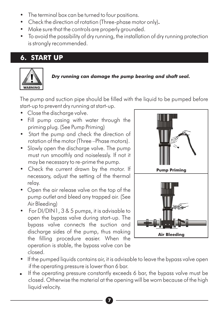- The terminal box can be turned to four positions.
- Check the direction of rotation (Three-phase motor only)**.**
- Make sure that the controls are properly grounded.
- To avoid the possibility of dry running, the installation of dry running protection is strongly recommended.

# **6. START UP**



#### *Dry running can damage the pump bearing and shaft seal.*

The pump and suction pipe should be filled with the liquid to be pumped before start-up to prevent dry running at start-up.

- **•** Close the discharge valve.
- **•** Fill pump casing with water through the priming plug. (See Pump Priming)
- **•** Start the pump and check the direction of rotation of the motor (Three –Phase motors).
- Slowly open the discharge valve. The pump must run smoothly and noiselessly. If not it may be necessary to re-prime the pump.
- **•** Check the current drawn by the motor. If necessary, adjust the setting of the thermal relay.
- Open the air release valve on the top of the pump outlet and bleed any trapped air. (See Air Bleeding)
- For DI/DIN1, 3 & 5 pumps, it is advisable to open the bypass valve during start-up. The bypass valve connects the suction and discharge sides of the pump, thus making the filling procedure easier. When the operation is stable, the bypass valve can be closed.



- **•** If the pumped liquids contains air, it is advisable to leave the bypass valve open if the operating pressure is lower than 6 bar.
- . If the operating pressure constantly exceeds 6 bar, the bypass valve must be closed. Otherwise the material at the opening will be worn because of the high liquid velocity.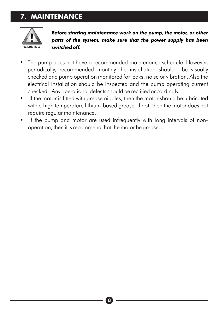# **7. MAINTENANCE**



*Before starting maintenance work on the pump, the motor, or other parts of the system, make sure that the power supply has been switched off.* 

- The pump does not have a recommended maintenance schedule. However, periodically, recommended monthly the installation should be visually checked and pump operation monitored for leaks, noise or vibration. Also the electrical installation should be inspected and the pump operating current checked. Any operational defects should be rectified accordingly.
- If the motor is fitted with grease nipples, then the motor should be lubricated with a high temperature lithium-based grease. If not, then the motor does not require regular maintenance.
- If the pump and motor are used infrequently with long intervals of nonoperation, then it is recommend that the motor be greased.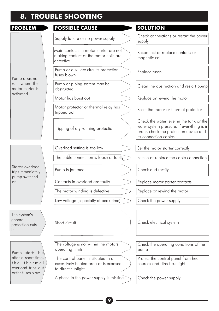# **8. TROUBLE SHOOTING**

| PROBLEM                                                                       | <b>POSSIBLE CAUSE</b>                                                                              | <b>SOLUTION</b>                                                                                                                                           |
|-------------------------------------------------------------------------------|----------------------------------------------------------------------------------------------------|-----------------------------------------------------------------------------------------------------------------------------------------------------------|
|                                                                               | Supply failure or no power supply                                                                  | Check connections or restart the power<br>supply                                                                                                          |
|                                                                               | Main contacts in motor starter are not<br>making contact or the motor coils are<br>defective       | Reconnect or replace contacts or<br>magnetic coil                                                                                                         |
| Pump does not                                                                 | Pump or auxiliary circuits protection<br>fuses blown                                               | Replace fuses                                                                                                                                             |
| run when the<br>motor starter is                                              | Pump or piping system may be<br>obstructed                                                         | Clean the obstruction and restart pump                                                                                                                    |
| activated                                                                     | Motor has burst out                                                                                | Replace or rewind the motor                                                                                                                               |
|                                                                               | Motor protector or thermal relay has<br>tripped out                                                | Reset the motor or thermal protector                                                                                                                      |
|                                                                               | Tripping of dry running protection                                                                 | Check the water level in the tank or the<br>water system pressure. If everything is in<br>order, check the protection device and<br>its connection cables |
|                                                                               | Overload setting is too low                                                                        | Set the motor starter correctly                                                                                                                           |
|                                                                               | The cable connection is loose or faulty                                                            | Fasten or replace the cable connection                                                                                                                    |
| Starter overload<br>trips mmediately                                          | Pump is jammed                                                                                     | Check and rectify                                                                                                                                         |
| pump switched<br>on                                                           | Contacts in overload are faulty                                                                    | Replace motor starter contacts                                                                                                                            |
|                                                                               | The motor winding is defective                                                                     | Replace or rewind the motor                                                                                                                               |
|                                                                               | Low voltage (especially at peak time)                                                              | Check the power supply                                                                                                                                    |
| The system's<br>general<br>protection cuts<br>in                              | Short circuit                                                                                      | Check electrical system                                                                                                                                   |
| Pump starts but                                                               | The voltage is not within the motors<br>operating limits                                           | Check the operating conditions of the<br>pump                                                                                                             |
| after a short time,<br>the thermal<br>overload trips out<br>or the fuses blow | The control panel is situated in an<br>excessively heated area or is exposed<br>to direct sunlight | Protect the control panel from heat<br>sources and direct sunlight                                                                                        |
|                                                                               | A phase in the power supply is missing                                                             | Check the power supply                                                                                                                                    |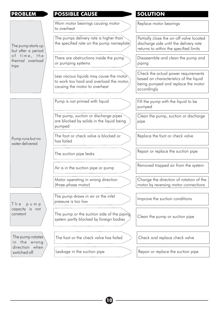| <b>PROBLEM</b>                            | <b>POSSIBLE CAUSE</b>                                                                                                 | <b>SOLUTION</b>                                                                                                                    |
|-------------------------------------------|-----------------------------------------------------------------------------------------------------------------------|------------------------------------------------------------------------------------------------------------------------------------|
|                                           | Worn motor bearings causing motor<br>to overheat                                                                      | Replace motor bearings                                                                                                             |
| The pump starts up<br>but after a period  | The pumps delivery rate is higher than<br>the specified rate on the pump nameplate                                    | Partially close the on-off valve located<br>discharge side until the delivery rate<br>returns to within the specified limits       |
| of time, the<br>thermal overload<br>trips | There are obstructions inside the pump<br>or pumping systems                                                          | Disassemble and clean the pump and<br>piping                                                                                       |
|                                           | Less viscous liquids may cause the motor<br>to work too hard and overload the motor.<br>causing the motor to overheat | Check the actual power requirements<br>based on characteristics of the liquid<br>being pumped and replace the motor<br>accordinaly |
|                                           | Pump is not primed with liquid                                                                                        | Fill the pump with the liquid to be<br>pumped                                                                                      |
|                                           | The pump, suction or discharge pipes<br>are blocked by solids in the liquid being<br>pumped                           | Clean the pump, suction or discharge<br>pipe                                                                                       |
| Pump runs but no<br>water delivered       | The foot or check valve is blocked or<br>has failed                                                                   | Replace the foot or check valve                                                                                                    |
|                                           | The suction pipe leaks                                                                                                | Repair or replace the suction pipe                                                                                                 |
|                                           | Air is in the suction pipe or pump                                                                                    | Removed trapped air from the system                                                                                                |
|                                           | Motor operating in wrong direction<br>(three-phase motor)                                                             | Change the direction of rotation of the<br>motor by reversing motor connections                                                    |
| T h e<br>pump                             | The pump draws in air or the inlet<br>pressure is too low                                                             | Improve the suction conditions                                                                                                     |
| capacity is not<br>constant               | The pump or the suction side of the piping<br>system partly blocked by foreign bodies                                 | Clean the pump or suction pipe                                                                                                     |
| The pump rotates<br>in the wrong          | The foot or the check valve has failed                                                                                | Check and replace check valve                                                                                                      |
| direction when<br>switched off            | Leakage in the suction pipe                                                                                           | Repair or replace the suction pipe                                                                                                 |

**100 - 100 - 100 - 100 - 100 - 100 - 100 - 100 - 100 - 100 - 100 - 100 - 100 - 100 - 100 - 100 - 100 - 100 - 100 - 100 - 100 - 100 - 100 - 100 - 100 - 100 - 100 - 100 - 100 - 100 - 100 - 100 - 100 - 100 - 100 - 100 - 100 -**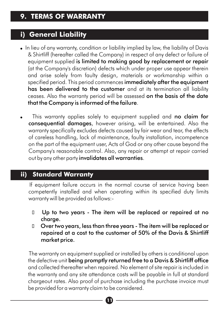### **i) General Liability**

- . In lieu of any warranty, condition or liability implied by law, the liability of Davis & Shirtliff (hereafter called the Company) in respect of any defect or failure of equipment supplied is limited to making good by replacement or repair (at the Company's discretion) defects which under proper use appear therein and arise solely from faulty design, materials or workmanship within a specified period. This period commences immediately after the equipment has been delivered to the customer and at its termination all liability ceases. Also the warranty period will be assessed on the basis of the date that the Company is informed of the failure.
- This warranty applies solely to equipment supplied and no claim for consequential damages, however arising, will be entertained. Also the warranty specifically excludes defects caused by fair wear and tear, the effects of careless handling, lack of maintenance, faulty installation, incompetence on the part of the equipment user, Acts of God or any other cause beyond the Company's reasonable control. Also, any repair or attempt at repair carried out by any other party invalidates all warranties.

# **ii) Standard Warranty**

If equipment failure occurs in the normal course of service having been competently installed and when operating within its specified duty limits warranty will be provided as follows:-

- D Up to two years The item will be replaced or repaired at no charge.
- Over two years, less than three years The item will be replaced or repaired at a cost to the customer of 50% of the Davis & Shirtliff market price.

The warranty on equipment supplied or installed by others is conditional upon the defective unit being promptly returned free to a Davis & Shirtliff office and collected thereafter when repaired. No element of site repair is included in the warranty and any site attendance costs will be payable in full at standard chargeout rates. Also proof of purchase including the purchase invoice must be provided for a warranty claim to be considered.